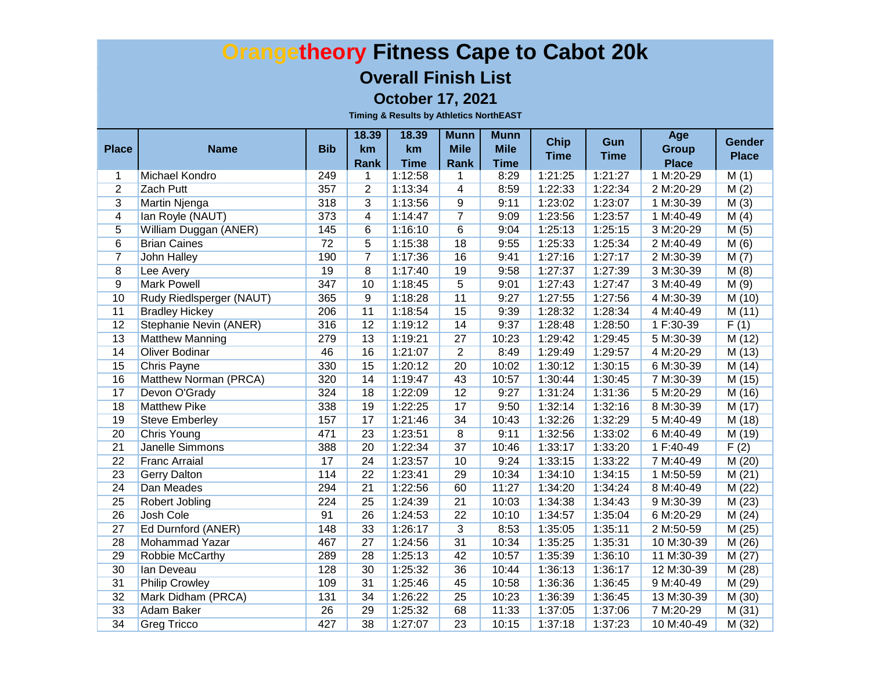#### **Overall Finish List**

**October 17, 2021**

|                 |                          |            | 18.39           | 18.39       | <b>Munn</b>     | <b>Munn</b> | <b>Chip</b> | Gun         | Age          | <b>Gender</b> |
|-----------------|--------------------------|------------|-----------------|-------------|-----------------|-------------|-------------|-------------|--------------|---------------|
| <b>Place</b>    | <b>Name</b>              | <b>Bib</b> | km              | km          | <b>Mile</b>     | <b>Mile</b> | <b>Time</b> | <b>Time</b> | <b>Group</b> | <b>Place</b>  |
|                 |                          |            | Rank            | <b>Time</b> | Rank            | <b>Time</b> |             |             | <b>Place</b> |               |
| 1               | <b>Michael Kondro</b>    | 249        | 1               | 1:12:58     | 1               | 8:29        | 1:21:25     | 1:21:27     | 1 M:20-29    | M(1)          |
| $\overline{2}$  | <b>Zach Putt</b>         | 357        | $\overline{2}$  | 1:13:34     | 4               | 8:59        | 1:22:33     | 1:22:34     | 2 M:20-29    | M(2)          |
| $\overline{3}$  | <b>Martin Njenga</b>     | 318        | $\overline{3}$  | 1:13:56     | $\overline{9}$  | 9:11        | 1:23:02     | 1:23:07     | 1 M:30-39    | M(3)          |
| $\overline{4}$  | lan Royle (NAUT)         | 373        | $\overline{4}$  | 1:14:47     | $\overline{7}$  | 9:09        | 1:23:56     | 1:23:57     | 1 M:40-49    | M(4)          |
| $\overline{5}$  | William Duggan (ANER)    | 145        | $\overline{6}$  | 1:16:10     | 6               | 9:04        | 1:25:13     | 1:25:15     | 3 M:20-29    | M(5)          |
| 6               | <b>Brian Caines</b>      | 72         | $\overline{5}$  | 1:15:38     | 18              | 9:55        | 1:25:33     | 1:25:34     | 2 M:40-49    | M(6)          |
| $\overline{7}$  | <b>John Halley</b>       | 190        | $\overline{7}$  | 1:17:36     | 16              | 9:41        | 1:27:16     | 1:27:17     | 2 M:30-39    | M(7)          |
| $\overline{8}$  | Lee Avery                | 19         | $\overline{8}$  | 1:17:40     | 19              | 9:58        | 1:27:37     | 1:27:39     | 3 M:30-39    | M(8)          |
| $\overline{9}$  | <b>Mark Powell</b>       | 347        | 10              | 1:18:45     | $\overline{5}$  | 9:01        | 1:27:43     | 1:27:47     | 3 M:40-49    | M(9)          |
| 10              | Rudy Riedlsperger (NAUT) | 365        | $\overline{9}$  | 1:18:28     | 11              | 9:27        | 1:27:55     | 1:27:56     | 4 M:30-39    | M(10)         |
| 11              | <b>Bradley Hickey</b>    | 206        | 11              | 1:18:54     | 15              | 9:39        | 1:28:32     | 1:28:34     | 4 M:40-49    | M(11)         |
| $\overline{12}$ | Stephanie Nevin (ANER)   | 316        | 12              | 1:19:12     | 14              | 9:37        | 1:28:48     | 1:28:50     | 1 F:30-39    | F(1)          |
| 13              | <b>Matthew Manning</b>   | 279        | 13              | 1:19:21     | $\overline{27}$ | 10:23       | 1:29:42     | 1:29:45     | 5 M:30-39    | M(12)         |
| 14              | <b>Oliver Bodinar</b>    | 46         | 16              | 1:21:07     | $\overline{2}$  | 8:49        | 1:29:49     | 1:29:57     | 4 M:20-29    | M(13)         |
| 15              | <b>Chris Payne</b>       | 330        | 15              | 1:20:12     | 20              | 10:02       | 1:30:12     | 1:30:15     | 6 M:30-39    | M(14)         |
| 16              | Matthew Norman (PRCA)    | 320        | 14              | 1:19:47     | 43              | 10:57       | 1:30:44     | 1:30:45     | 7 M:30-39    | M(15)         |
| 17              | Devon O'Grady            | 324        | 18              | 1:22:09     | 12              | 9:27        | 1:31:24     | 1:31:36     | 5 M:20-29    | M (16)        |
| 18              | <b>Matthew Pike</b>      | 338        | 19              | 1:22:25     | 17              | 9:50        | 1:32:14     | 1:32:16     | 8 M:30-39    | M(17)         |
| 19              | <b>Steve Emberley</b>    | 157        | 17              | 1:21:46     | 34              | 10:43       | 1:32:26     | 1:32:29     | 5 M:40-49    | M (18)        |
| 20              | <b>Chris Young</b>       | 471        | 23              | 1:23:51     | $\overline{8}$  | 9:11        | 1:32:56     | 1:33:02     | 6 M:40-49    | M(19)         |
| $\overline{21}$ | <b>Janelle Simmons</b>   | 388        | 20              | 1:22:34     | $\overline{37}$ | 10:46       | 1:33:17     | 1:33:20     | 1 F:40-49    | F(2)          |
| $\overline{22}$ | <b>Franc Arraial</b>     | 17         | 24              | 1:23:57     | 10              | 9:24        | 1:33:15     | 1:33:22     | 7 M:40-49    | M(20)         |
| 23              | <b>Gerry Dalton</b>      | 114        | $\overline{22}$ | 1:23:41     | 29              | 10:34       | 1:34:10     | 1:34:15     | 1 M:50-59    | M(21)         |
| $\overline{24}$ | Dan Meades               | 294        | $\overline{21}$ | 1:22:56     | 60              | 11:27       | 1:34:20     | 1:34:24     | 8 M:40-49    | M(22)         |
| 25              | Robert Jobling           | 224        | 25              | 1:24:39     | $\overline{21}$ | 10:03       | 1:34:38     | 1:34:43     | 9 M:30-39    | M(23)         |
| $\overline{26}$ | <b>Josh Cole</b>         | 91         | 26              | 1:24:53     | 22              | 10:10       | 1:34:57     | 1:35:04     | 6 M:20-29    | M(24)         |
| 27              | Ed Durnford (ANER)       | 148        | 33              | 1:26:17     | 3               | 8:53        | 1:35:05     | 1:35:11     | 2 M:50-59    | M(25)         |
| 28              | Mohammad Yazar           | 467        | $\overline{27}$ | 1:24:56     | 31              | 10:34       | 1:35:25     | 1:35:31     | 10 M:30-39   | M(26)         |
| 29              | Robbie McCarthy          | 289        | 28              | 1:25:13     | 42              | 10:57       | 1:35:39     | 1:36:10     | 11 M:30-39   | M(27)         |
| 30              | lan Deveau               | 128        | 30              | 1:25:32     | 36              | 10:44       | 1:36:13     | 1:36:17     | 12 M:30-39   | M (28)        |
| 31              | <b>Philip Crowley</b>    | 109        | 31              | 1:25:46     | 45              | 10:58       | 1:36:36     | 1:36:45     | 9 M:40-49    | M (29)        |
| 32              | Mark Didham (PRCA)       | 131        | 34              | 1:26:22     | 25              | 10:23       | 1:36:39     | 1:36:45     | 13 M:30-39   | M (30)        |
| 33              | Adam Baker               | 26         | 29              | 1:25:32     | 68              | 11:33       | 1:37:05     | 1:37:06     | 7 M:20-29    | M(31)         |
| 34              | <b>Greg Tricco</b>       | 427        | 38              | 1:27:07     | 23              | 10:15       | 1:37:18     | 1:37:23     | 10 M:40-49   | M(32)         |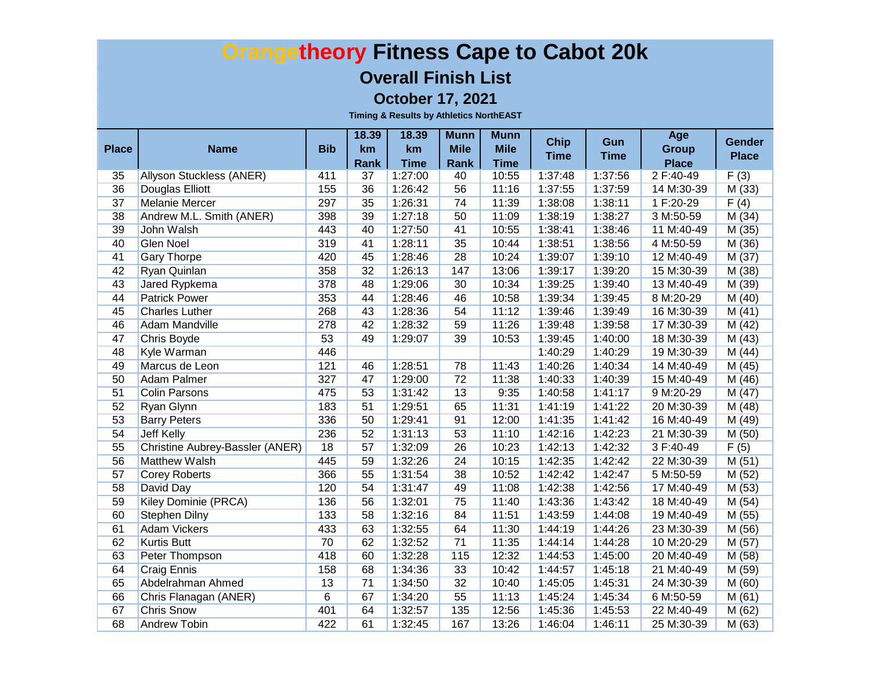#### **Overall Finish List**

**October 17, 2021**

|                 |                                 |            | 18.39             | 18.39                  | <b>Munn</b>       | <b>Munn</b>          | <b>Chip</b> | Gun         | Age                       | <b>Gender</b> |
|-----------------|---------------------------------|------------|-------------------|------------------------|-------------------|----------------------|-------------|-------------|---------------------------|---------------|
| <b>Place</b>    | <b>Name</b>                     | <b>Bib</b> | <b>km</b>         | km                     | <b>Mile</b>       | <b>Mile</b>          | <b>Time</b> | <b>Time</b> | <b>Group</b>              | <b>Place</b>  |
| 35              | Allyson Stuckless (ANER)        | 411        | <b>Rank</b><br>37 | <b>Time</b><br>1:27:00 | <b>Rank</b><br>40 | <b>Time</b><br>10:55 | 1:37:48     | 1:37:56     | <b>Place</b><br>2 F:40-49 | F(3)          |
| 36              | <b>Douglas Elliott</b>          | 155        | 36                | 1:26:42                | 56                | 11:16                | 1:37:55     | 1:37:59     | 14 M:30-39                | M(33)         |
| 37              | <b>Melanie Mercer</b>           | 297        | 35                | 1:26:31                | 74                | 11:39                | 1:38:08     | 1:38:11     | 1 F:20-29                 | F(4)          |
| 38              | Andrew M.L. Smith (ANER)        | 398        | 39                | 1:27:18                | 50                | 11:09                | 1:38:19     | 1:38:27     | 3 M:50-59                 | M(34)         |
| 39              | John Walsh                      | 443        | 40                | 1:27:50                | 41                | 10:55                | 1:38:41     | 1:38:46     | 11 M:40-49                | M(35)         |
| 40              | <b>Glen Noel</b>                | 319        | 41                | 1:28:11                | 35                | 10:44                | 1:38:51     | 1:38:56     | 4 M:50-59                 | M(36)         |
| 41              | <b>Gary Thorpe</b>              | 420        | 45                | 1:28:46                | 28                | 10:24                | 1:39:07     | 1:39:10     | 12 M:40-49                | M(37)         |
| 42              | Ryan Quinlan                    | 358        | 32                | 1:26:13                | 147               | 13:06                | 1:39:17     | 1:39:20     | 15 M:30-39                | M(38)         |
| 43              | Jared Rypkema                   | 378        | 48                | 1:29:06                | 30                | 10:34                | 1:39:25     | 1:39:40     | 13 M:40-49                | M(39)         |
| 44              | <b>Patrick Power</b>            | 353        | 44                | 1:28:46                | 46                | 10:58                | 1:39:34     | 1:39:45     | 8 M:20-29                 | M(40)         |
| 45              | <b>Charles Luther</b>           | 268        | 43                | 1:28:36                | 54                | 11:12                | 1:39:46     | 1:39:49     | 16 M:30-39                | M(41)         |
| 46              | Adam Mandville                  | 278        | 42                | 1:28:32                | 59                | 11:26                | 1:39:48     | 1:39:58     | 17 M:30-39                | M(42)         |
| 47              | Chris Boyde                     | 53         | 49                | 1:29:07                | 39                | 10:53                | 1:39:45     | 1:40:00     | 18 M:30-39                | M(43)         |
| 48              | Kyle Warman                     | 446        |                   |                        |                   |                      | 1:40:29     | 1:40:29     | 19 M:30-39                | M (44)        |
| 49              | Marcus de Leon                  | 121        | 46                | 1:28:51                | 78                | 11:43                | 1:40:26     | 1:40:34     | 14 M:40-49                | M (45)        |
| 50              | Adam Palmer                     | 327        | 47                | 1:29:00                | 72                | 11:38                | 1:40:33     | 1:40:39     | 15 M:40-49                | M (46)        |
| 51              | <b>Colin Parsons</b>            | 475        | 53                | 1:31:42                | 13                | 9:35                 | 1:40:58     | 1:41:17     | 9 M:20-29                 | M(47)         |
| 52              | Ryan Glynn                      | 183        | 51                | 1:29:51                | 65                | 11:31                | 1:41:19     | 1:41:22     | 20 M:30-39                | M (48)        |
| 53              | <b>Barry Peters</b>             | 336        | 50                | 1:29:41                | 91                | 12:00                | 1:41:35     | 1:41:42     | 16 M:40-49                | M (49)        |
| 54              | Jeff Kelly                      | 236        | 52                | 1:31:13                | 53                | 11:10                | 1:42:16     | 1:42:23     | 21 M:30-39                | M (50)        |
| $\overline{55}$ | Christine Aubrey-Bassler (ANER) | 18         | 57                | 1:32:09                | 26                | 10:23                | 1:42:13     | 1:42:32     | 3 F:40-49                 | F(5)          |
| 56              | Matthew Walsh                   | 445        | 59                | 1:32:26                | 24                | 10:15                | 1:42:35     | 1:42:42     | 22 M:30-39                | M(51)         |
| 57              | <b>Corey Roberts</b>            | 366        | 55                | 1:31:54                | 38                | 10:52                | 1:42:42     | 1:42:47     | 5 M:50-59                 | M(52)         |
| 58              | David Day                       | 120        | 54                | 1:31:47                | 49                | 11:08                | 1:42:38     | 1:42:56     | 17 M:40-49                | M(53)         |
| 59              | Kiley Dominie (PRCA)            | 136        | 56                | 1:32:01                | 75                | 11:40                | 1:43:36     | 1:43:42     | 18 M:40-49                | M(54)         |
| 60              | Stephen Dilny                   | 133        | 58                | 1:32:16                | 84                | 11:51                | 1:43:59     | 1:44:08     | 19 M:40-49                | M(55)         |
| 61              | <b>Adam Vickers</b>             | 433        | 63                | 1:32:55                | 64                | 11:30                | 1:44:19     | 1:44:26     | 23 M:30-39                | M (56)        |
| 62              | <b>Kurtis Butt</b>              | 70         | 62                | 1:32:52                | $\overline{71}$   | 11:35                | 1:44:14     | 1:44:28     | 10 M:20-29                | M(57)         |
| 63              | Peter Thompson                  | 418        | 60                | 1:32:28                | 115               | 12:32                | 1:44:53     | 1:45:00     | 20 M:40-49                | M (58)        |
| 64              | <b>Craig Ennis</b>              | 158        | 68                | 1:34:36                | 33                | 10:42                | 1:44:57     | 1:45:18     | 21 M:40-49                | M(59)         |
| 65              | Abdelrahman Ahmed               | 13         | $\overline{71}$   | 1:34:50                | 32                | 10:40                | 1:45:05     | 1:45:31     | 24 M:30-39                | M(60)         |
| 66              | Chris Flanagan (ANER)           | 6          | 67                | 1:34:20                | 55                | 11:13                | 1:45:24     | 1:45:34     | 6 M:50-59                 | M(61)         |
| 67              | <b>Chris Snow</b>               | 401        | 64                | 1:32:57                | 135               | 12:56                | 1:45:36     | 1:45:53     | 22 M:40-49                | M (62)        |
| 68              | <b>Andrew Tobin</b>             | 422        | 61                | 1:32:45                | 167               | 13:26                | 1:46:04     | 1:46:11     | 25 M:30-39                | M(63)         |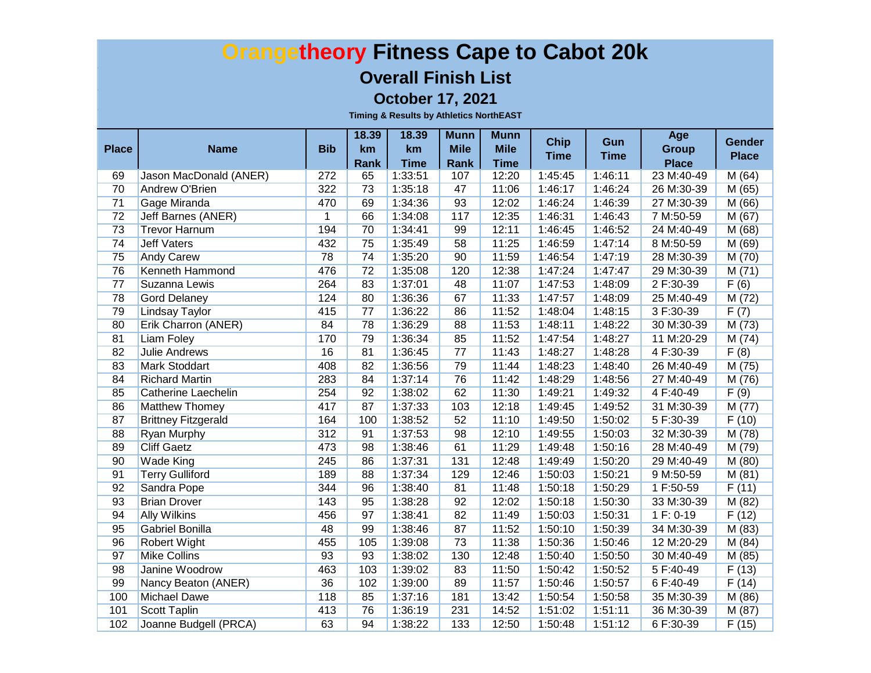#### **Overall Finish List**

**October 17, 2021**

|                 |                            |                | 18.39           | 18.39             | <b>Munn</b>         | <b>Munn</b>                | <b>Chip</b> | Gun         | Age                          | <b>Gender</b> |
|-----------------|----------------------------|----------------|-----------------|-------------------|---------------------|----------------------------|-------------|-------------|------------------------------|---------------|
| <b>Place</b>    | <b>Name</b>                | <b>Bib</b>     | km<br>Rank      | km<br><b>Time</b> | <b>Mile</b><br>Rank | <b>Mile</b><br><b>Time</b> | <b>Time</b> | <b>Time</b> | <b>Group</b><br><b>Place</b> | <b>Place</b>  |
| 69              | Jason MacDonald (ANER)     | 272            | 65              | 1:33:51           | 107                 | 12:20                      | 1:45:45     | 1:46:11     | 23 M:40-49                   | M(64)         |
| 70              | <b>Andrew O'Brien</b>      | 322            | 73              | 1:35:18           | 47                  | 11:06                      | 1:46:17     | 1:46:24     | 26 M:30-39                   | M(65)         |
| 71              | Gage Miranda               | 470            | 69              | 1:34:36           | 93                  | 12:02                      | 1:46:24     | 1:46:39     | 27 M:30-39                   | M(66)         |
| 72              | <b>Jeff Barnes (ANER)</b>  | $\overline{1}$ | 66              | 1:34:08           | 117                 | 12:35                      | 1:46:31     | 1:46:43     | 7 M:50-59                    | M(67)         |
| 73              | <b>Trevor Harnum</b>       | 194            | 70              | 1:34:41           | 99                  | 12:11                      | 1:46:45     | 1:46:52     | 24 M:40-49                   | M(68)         |
| 74              | <b>Jeff Vaters</b>         | 432            | 75              | 1:35:49           | 58                  | 11:25                      | 1:46:59     | 1:47:14     | 8 M:50-59                    | M(69)         |
| 75              | <b>Andy Carew</b>          | 78             | 74              | 1:35:20           | 90                  | 11:59                      | 1:46:54     | 1:47:19     | 28 M:30-39                   | M(70)         |
| 76              | Kenneth Hammond            | 476            | $\overline{72}$ | 1:35:08           | 120                 | 12:38                      | 1:47:24     | 1:47:47     | 29 M:30-39                   | M(71)         |
| $\overline{77}$ | Suzanna Lewis              | 264            | 83              | 1:37:01           | 48                  | 11:07                      | 1:47:53     | 1:48:09     | 2 F:30-39                    | F(6)          |
| 78              | <b>Gord Delaney</b>        | 124            | 80              | 1:36:36           | 67                  | 11:33                      | 1:47:57     | 1:48:09     | 25 M:40-49                   | M(72)         |
| 79              | <b>Lindsay Taylor</b>      | 415            | $\overline{77}$ | 1:36:22           | 86                  | 11:52                      | 1:48:04     | 1:48:15     | 3 F:30-39                    | F(7)          |
| 80              | Erik Charron (ANER)        | 84             | 78              | 1:36:29           | 88                  | 11:53                      | 1:48:11     | 1:48:22     | 30 M:30-39                   | M(73)         |
| 81              | <b>Liam Foley</b>          | 170            | 79              | 1:36:34           | 85                  | 11:52                      | 1:47:54     | 1:48:27     | 11 M:20-29                   | M (74)        |
| 82              | <b>Julie Andrews</b>       | 16             | 81              | 1:36:45           | $\overline{77}$     | 11:43                      | 1:48:27     | 1:48:28     | 4 F:30-39                    | F(8)          |
| 83              | <b>Mark Stoddart</b>       | 408            | 82              | 1:36:56           | 79                  | 11:44                      | 1:48:23     | 1:48:40     | 26 M:40-49                   | M (75)        |
| 84              | <b>Richard Martin</b>      | 283            | 84              | 1:37:14           | 76                  | 11:42                      | 1:48:29     | 1:48:56     | 27 M:40-49                   | M (76)        |
| 85              | Catherine Laechelin        | 254            | 92              | 1:38:02           | 62                  | 11:30                      | 1:49:21     | 1:49:32     | 4 F:40-49                    | F(9)          |
| 86              | Matthew Thomey             | 417            | 87              | 1:37:33           | 103                 | 12:18                      | 1:49:45     | 1:49:52     | 31 M:30-39                   | M (77)        |
| 87              | <b>Brittney Fitzgerald</b> | 164            | 100             | 1:38:52           | 52                  | 11:10                      | 1:49:50     | 1:50:02     | 5 F:30-39                    | F(10)         |
| 88              | Ryan Murphy                | 312            | 91              | 1:37:53           | 98                  | 12:10                      | 1:49:55     | 1:50:03     | 32 M:30-39                   | M (78)        |
| 89              | <b>Cliff Gaetz</b>         | 473            | 98              | 1:38:46           | 61                  | 11:29                      | 1:49:48     | 1:50:16     | 28 M:40-49                   | M (79)        |
| 90              | Wade King                  | 245            | 86              | 1:37:31           | 131                 | 12:48                      | 1:49:49     | 1:50:20     | 29 M:40-49                   | M (80)        |
| 91              | <b>Terry Gulliford</b>     | 189            | 88              | 1:37:34           | 129                 | 12:46                      | 1:50:03     | 1:50:21     | 9 M:50-59                    | M(81)         |
| 92              | Sandra Pope                | 344            | 96              | 1:38:40           | 81                  | 11:48                      | 1:50:18     | 1:50:29     | 1 F:50-59                    | F(11)         |
| 93              | <b>Brian Drover</b>        | 143            | 95              | 1:38:28           | 92                  | 12:02                      | 1:50:18     | 1:50:30     | 33 M:30-39                   | M(82)         |
| 94              | <b>Ally Wilkins</b>        | 456            | 97              | 1:38:41           | 82                  | 11:49                      | 1:50:03     | 1:50:31     | $1 F: 0-19$                  | F(12)         |
| 95              | Gabriel Bonilla            | 48             | 99              | 1:38:46           | 87                  | 11:52                      | 1:50:10     | 1:50:39     | 34 M:30-39                   | M (83)        |
| 96              | Robert Wight               | 455            | 105             | 1:39:08           | 73                  | 11:38                      | 1:50:36     | 1:50:46     | 12 M:20-29                   | M(84)         |
| 97              | <b>Mike Collins</b>        | 93             | 93              | 1:38:02           | 130                 | 12:48                      | 1:50:40     | 1:50:50     | 30 M:40-49                   | M (85)        |
| 98              | Janine Woodrow             | 463            | 103             | 1:39:02           | 83                  | 11:50                      | 1:50:42     | 1:50:52     | 5 F:40-49                    | F(13)         |
| 99              | Nancy Beaton (ANER)        | 36             | 102             | 1:39:00           | 89                  | 11:57                      | 1:50:46     | 1:50:57     | 6 F:40-49                    | F(14)         |
| 100             | <b>Michael Dawe</b>        | 118            | 85              | 1:37:16           | 181                 | 13:42                      | 1:50:54     | 1:50:58     | 35 M:30-39                   | M(86)         |
| 101             | Scott Taplin               | 413            | 76              | 1:36:19           | 231                 | 14:52                      | 1:51:02     | 1:51:11     | 36 M:30-39                   | M (87)        |
| 102             | Joanne Budgell (PRCA)      | 63             | 94              | 1:38:22           | 133                 | 12:50                      | 1:50:48     | 1:51:12     | 6 F:30-39                    | F(15)         |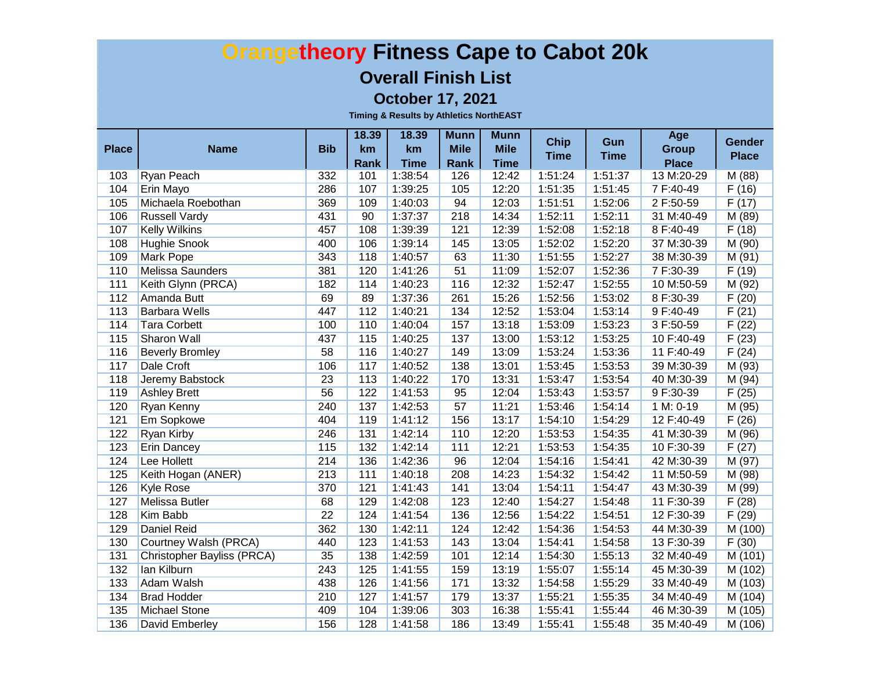#### **Overall Finish List**

**October 17, 2021**

|              |                            | <b>Bib</b>      | 18.39             | 18.39             | <b>Munn</b>                | <b>Munn</b>                | <b>Chip</b> | Gun         | Age                          | Gender       |
|--------------|----------------------------|-----------------|-------------------|-------------------|----------------------------|----------------------------|-------------|-------------|------------------------------|--------------|
| <b>Place</b> | <b>Name</b>                |                 | km<br><b>Rank</b> | km<br><b>Time</b> | <b>Mile</b><br><b>Rank</b> | <b>Mile</b><br><b>Time</b> | <b>Time</b> | <b>Time</b> | <b>Group</b><br><b>Place</b> | <b>Place</b> |
| 103          | Ryan Peach                 | 332             | 101               | 1:38:54           | 126                        | 12:42                      | 1:51:24     | 1:51:37     | 13 M:20-29                   | M (88)       |
| 104          | <b>Erin Mayo</b>           | 286             | 107               | 1:39:25           | 105                        | 12:20                      | 1:51:35     | 1:51:45     | 7 F:40-49                    | F(16)        |
| 105          | Michaela Roebothan         | 369             | 109               | 1:40:03           | 94                         | 12:03                      | 1:51:51     | 1:52:06     | 2 F:50-59                    | F(17)        |
| 106          | <b>Russell Vardy</b>       | 431             | 90                | 1:37:37           | 218                        | 14:34                      | 1:52:11     | 1:52:11     | 31 M:40-49                   | M(89)        |
| 107          | <b>Kelly Wilkins</b>       | 457             | 108               | 1:39:39           | 121                        | 12:39                      | 1:52:08     | 1:52:18     | 8 F:40-49                    | F(18)        |
| 108          | <b>Hughie Snook</b>        | 400             | 106               | 1:39:14           | 145                        | 13:05                      | 1:52:02     | 1:52:20     | 37 M:30-39                   | M(90)        |
| 109          | <b>Mark Pope</b>           | 343             | 118               | 1:40:57           | 63                         | 11:30                      | 1:51:55     | 1:52:27     | 38 M:30-39                   | M(91)        |
| 110          | <b>Melissa Saunders</b>    | 381             | 120               | 1:41:26           | 51                         | 11:09                      | 1:52:07     | 1:52:36     | 7F:30-39                     | F(19)        |
| 111          | Keith Glynn (PRCA)         | 182             | 114               | 1:40:23           | 116                        | 12:32                      | 1:52:47     | 1:52:55     | 10 M:50-59                   | M(92)        |
| 112          | Amanda Butt                | 69              | 89                | 1:37:36           | 261                        | 15:26                      | 1:52:56     | 1:53:02     | 8 F:30-39                    | F(20)        |
| 113          | <b>Barbara Wells</b>       | 447             | 112               | 1:40:21           | 134                        | 12:52                      | 1:53:04     | 1:53:14     | 9 F:40-49                    | F(21)        |
| 114          | <b>Tara Corbett</b>        | 100             | 110               | 1:40:04           | 157                        | 13:18                      | 1:53:09     | 1:53:23     | 3 F:50-59                    | F(22)        |
| 115          | <b>Sharon Wall</b>         | 437             | 115               | 1:40:25           | 137                        | 13:00                      | 1:53:12     | 1:53:25     | 10 F:40-49                   | F(23)        |
| 116          | <b>Beverly Bromley</b>     | 58              | 116               | 1:40:27           | 149                        | 13:09                      | 1:53:24     | 1:53:36     | 11 F:40-49                   | F(24)        |
| 117          | Dale Croft                 | 106             | 117               | 1:40:52           | 138                        | 13:01                      | 1:53:45     | 1:53:53     | 39 M:30-39                   | M(93)        |
| 118          | Jeremy Babstock            | 23              | 113               | 1:40:22           | 170                        | 13:31                      | 1:53:47     | 1:53:54     | 40 M:30-39                   | M (94)       |
| 119          | <b>Ashley Brett</b>        | 56              | 122               | 1:41:53           | 95                         | 12:04                      | 1:53:43     | 1:53:57     | 9 F:30-39                    | F(25)        |
| 120          | Ryan Kenny                 | 240             | 137               | 1:42:53           | 57                         | 11:21                      | 1:53:46     | 1:54:14     | 1 M: 0-19                    | M (95)       |
| 121          | Em Sopkowe                 | 404             | 119               | 1:41:12           | 156                        | 13:17                      | 1:54:10     | 1:54:29     | 12 F:40-49                   | F(26)        |
| 122          | Ryan Kirby                 | 246             | 131               | 1:42:14           | 110                        | 12:20                      | 1:53:53     | 1:54:35     | 41 M:30-39                   | M (96)       |
| 123          | <b>Erin Dancey</b>         | 115             | $132$             | 1:42:14           | 111                        | 12:21                      | 1:53:53     | 1:54:35     | 10 F:30-39                   | F(27)        |
| 124          | Lee Hollett                | 214             | 136               | 1:42:36           | 96                         | 12:04                      | 1:54:16     | 1:54:41     | 42 M:30-39                   | M (97)       |
| 125          | Keith Hogan (ANER)         | 213             | 111               | 1:40:18           | 208                        | 14:23                      | 1:54:32     | 1:54:42     | 11 M:50-59                   | M(98)        |
| 126          | <b>Kyle Rose</b>           | 370             | 121               | 1:41:43           | 141                        | 13:04                      | 1:54:11     | 1:54:47     | 43 M:30-39                   | M (99)       |
| 127          | Melissa Butler             | 68              | 129               | 1:42:08           | 123                        | 12:40                      | 1:54:27     | 1:54:48     | 11 F:30-39                   | F(28)        |
| 128          | Kim Babb                   | $\overline{22}$ | 124               | 1:41:54           | 136                        | 12:56                      | 1:54:22     | 1:54:51     | 12 F:30-39                   | F(29)        |
| 129          | <b>Daniel Reid</b>         | 362             | 130               | 1:42:11           | 124                        | 12:42                      | 1:54:36     | 1:54:53     | 44 M:30-39                   | M (100)      |
| 130          | Courtney Walsh (PRCA)      | 440             | 123               | 1:41:53           | 143                        | 13:04                      | 1:54:41     | 1:54:58     | 13 F:30-39                   | F(30)        |
| 131          | Christopher Bayliss (PRCA) | 35              | 138               | 1:42:59           | 101                        | 12:14                      | 1:54:30     | 1:55:13     | 32 M:40-49                   | M(101)       |
| $132$        | lan Kilburn                | 243             | 125               | 1:41:55           | 159                        | 13:19                      | 1:55:07     | 1:55:14     | 45 M:30-39                   | M(102)       |
| 133          | <b>Adam Walsh</b>          | 438             | 126               | 1:41:56           | 171                        | 13:32                      | 1:54:58     | 1:55:29     | 33 M:40-49                   | M (103)      |
| 134          | <b>Brad Hodder</b>         | 210             | 127               | 1:41:57           | 179                        | 13:37                      | 1:55:21     | 1:55:35     | 34 M:40-49                   | M(104)       |
| 135          | Michael Stone              | 409             | 104               | 1:39:06           | 303                        | 16:38                      | 1:55:41     | 1:55:44     | 46 M:30-39                   | M(105)       |
| 136          | David Emberley             | 156             | 128               | 1:41:58           | 186                        | 13:49                      | 1:55:41     | 1:55:48     | 35 M:40-49                   | M(106)       |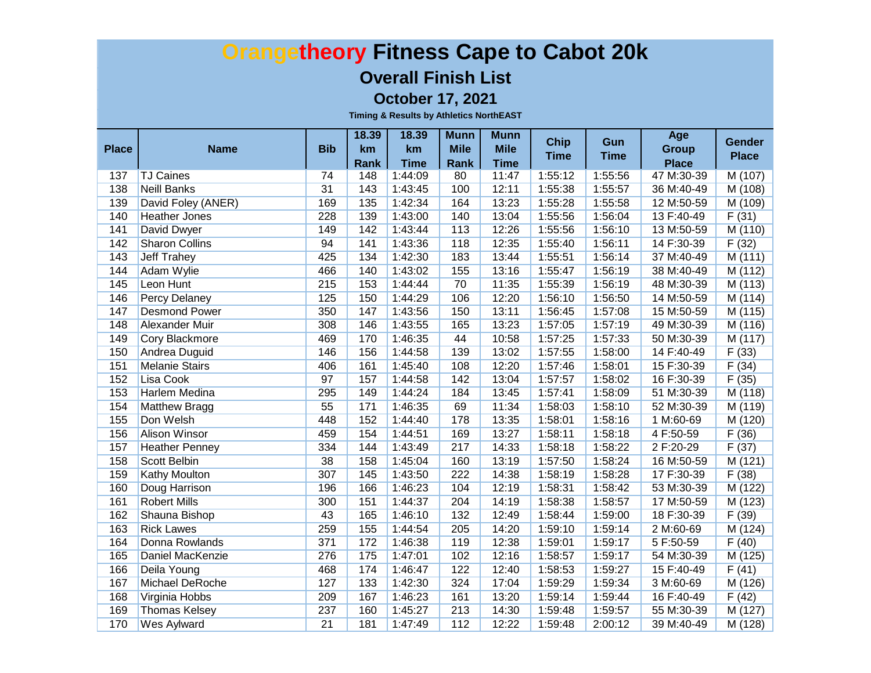#### **Overall Finish List**

**October 17, 2021**

|              |                       |                 | 18.39       | 18.39                  | <b>Munn</b> | <b>Munn</b>          | <b>Chip</b> | Gun         | Age                        | <b>Gender</b>                 |
|--------------|-----------------------|-----------------|-------------|------------------------|-------------|----------------------|-------------|-------------|----------------------------|-------------------------------|
| <b>Place</b> | <b>Name</b>           | <b>Bib</b>      | km          | km                     | <b>Mile</b> | <b>Mile</b>          | <b>Time</b> | <b>Time</b> | <b>Group</b>               | <b>Place</b>                  |
| 137          | <b>TJ Caines</b>      | 74              | Rank<br>148 | <b>Time</b><br>1:44:09 | Rank<br>80  | <b>Time</b><br>11:47 | 1:55:12     | 1:55:56     | <b>Place</b><br>47 M:30-39 | $\overline{M(107)}$           |
| 138          | <b>Neill Banks</b>    | $\overline{31}$ | 143         | 1:43:45                | 100         | 12:11                | 1:55:38     | 1:55:57     | 36 M:40-49                 | M(108)                        |
| 139          | David Foley (ANER)    | 169             | 135         | 1:42:34                | 164         | 13:23                | 1:55:28     | 1:55:58     | 12 M:50-59                 | M(109)                        |
| 140          | <b>Heather Jones</b>  | 228             | 139         | 1:43:00                | 140         | 13:04                | 1:55:56     | 1:56:04     | 13 F:40-49                 | F(31)                         |
| 141          | David Dwyer           | 149             | 142         | 1:43:44                | 113         | 12:26                | 1:55:56     | 1:56:10     | 13 M:50-59                 | M(110)                        |
| 142          | <b>Sharon Collins</b> | 94              | 141         | 1:43:36                | 118         | 12:35                | 1:55:40     | 1:56:11     | 14 F:30-39                 | F(32)                         |
| 143          | <b>Jeff Trahey</b>    | 425             | 134         | 1:42:30                | 183         | 13:44                | 1:55:51     | 1:56:14     | 37 M:40-49                 | M(111)                        |
| 144          | <b>Adam Wylie</b>     | 466             | 140         | 1:43:02                | 155         | 13:16                | 1:55:47     | 1:56:19     | 38 M:40-49                 | M(112)                        |
| 145          | Leon Hunt             | 215             | 153         | 1:44:44                | 70          | 11:35                | 1:55:39     | 1:56:19     | 48 M:30-39                 | M (113)                       |
| 146          | <b>Percy Delaney</b>  | 125             | 150         | 1:44:29                | 106         | 12:20                | 1:56:10     | 1:56:50     | 14 M:50-59                 | M(114)                        |
| 147          | <b>Desmond Power</b>  | 350             | 147         | 1:43:56                | 150         | 13:11                | 1:56:45     | 1:57:08     | 15 M:50-59                 | M(115)                        |
| 148          | <b>Alexander Muir</b> | 308             | 146         | 1:43:55                | 165         | 13:23                | 1:57:05     | 1:57:19     | 49 M:30-39                 | M(116)                        |
| 149          | <b>Cory Blackmore</b> | 469             | 170         | 1:46:35                | 44          | 10:58                | 1:57:25     | 1:57:33     | 50 M:30-39                 | $\overline{\mathsf{M}}$ (117) |
| 150          | Andrea Duguid         | 146             | 156         | 1:44:58                | 139         | 13:02                | 1:57:55     | 1:58:00     | 14 F:40-49                 | F(33)                         |
| 151          | <b>Melanie Stairs</b> | 406             | 161         | 1:45:40                | 108         | 12:20                | 1:57:46     | 1:58:01     | 15 F:30-39                 | F(34)                         |
| 152          | Lisa Cook             | 97              | 157         | 1:44:58                | 142         | 13:04                | 1:57:57     | 1:58:02     | 16 F:30-39                 | F(35)                         |
| 153          | <b>Harlem Medina</b>  | 295             | 149         | 1:44:24                | 184         | 13:45                | 1:57:41     | 1:58:09     | 51 M:30-39                 | M (118)                       |
| 154          | <b>Matthew Bragg</b>  | 55              | $171$       | 1:46:35                | 69          | 11:34                | 1:58:03     | 1:58:10     | 52 M:30-39                 | M (119)                       |
| 155          | Don Welsh             | 448             | 152         | 1:44:40                | 178         | 13:35                | 1:58:01     | 1:58:16     | 1 M:60-69                  | M(120)                        |
| 156          | Alison Winsor         | 459             | 154         | 1:44:51                | 169         | 13:27                | 1:58:11     | 1:58:18     | 4 F:50-59                  | F(36)                         |
| 157          | <b>Heather Penney</b> | 334             | 144         | 1:43:49                | 217         | 14:33                | 1:58:18     | 1:58:22     | 2 F:20-29                  | F(37)                         |
| 158          | Scott Belbin          | 38              | 158         | 1:45:04                | 160         | 13:19                | 1:57:50     | 1:58:24     | 16 M:50-59                 | M (121)                       |
| 159          | Kathy Moulton         | 307             | 145         | 1:43:50                | 222         | 14:38                | 1:58:19     | 1:58:28     | 17 F:30-39                 | F(38)                         |
| 160          | Doug Harrison         | 196             | 166         | 1:46:23                | 104         | 12:19                | 1:58:31     | 1:58:42     | 53 M:30-39                 | M(122)                        |
| 161          | <b>Robert Mills</b>   | 300             | 151         | 1:44:37                | 204         | 14:19                | 1:58:38     | 1:58:57     | 17 M:50-59                 | M(123)                        |
| 162          | Shauna Bishop         | 43              | 165         | 1:46:10                | $132$       | 12:49                | 1:58:44     | 1:59:00     | 18 F:30-39                 | F(39)                         |
| 163          | <b>Rick Lawes</b>     | 259             | 155         | 1:44:54                | 205         | 14:20                | 1:59:10     | 1:59:14     | 2 M:60-69                  | M (124)                       |
| 164          | Donna Rowlands        | 371             | 172         | 1:46:38                | 119         | 12:38                | 1:59:01     | 1:59:17     | 5F:50-59                   | F(40)                         |
| 165          | Daniel MacKenzie      | 276             | 175         | 1:47:01                | 102         | 12:16                | 1:58:57     | 1:59:17     | 54 M:30-39                 | M(125)                        |
| 166          | Deila Young           | 468             | 174         | 1:46:47                | 122         | 12:40                | 1:58:53     | 1:59:27     | 15 F:40-49                 | F(41)                         |
| 167          | Michael DeRoche       | 127             | 133         | 1:42:30                | 324         | 17:04                | 1:59:29     | 1:59:34     | 3 M:60-69                  | M (126)                       |
| 168          | Virginia Hobbs        | 209             | 167         | 1:46:23                | 161         | 13:20                | 1:59:14     | 1:59:44     | 16 F:40-49                 | F(42)                         |
| 169          | <b>Thomas Kelsey</b>  | 237             | 160         | 1:45:27                | 213         | 14:30                | 1:59:48     | 1:59:57     | 55 M:30-39                 | M(127)                        |
| 170          | Wes Aylward           | $\overline{21}$ | 181         | 1:47:49                | 112         | 12:22                | 1:59:48     | 2:00:12     | 39 M:40-49                 | M (128)                       |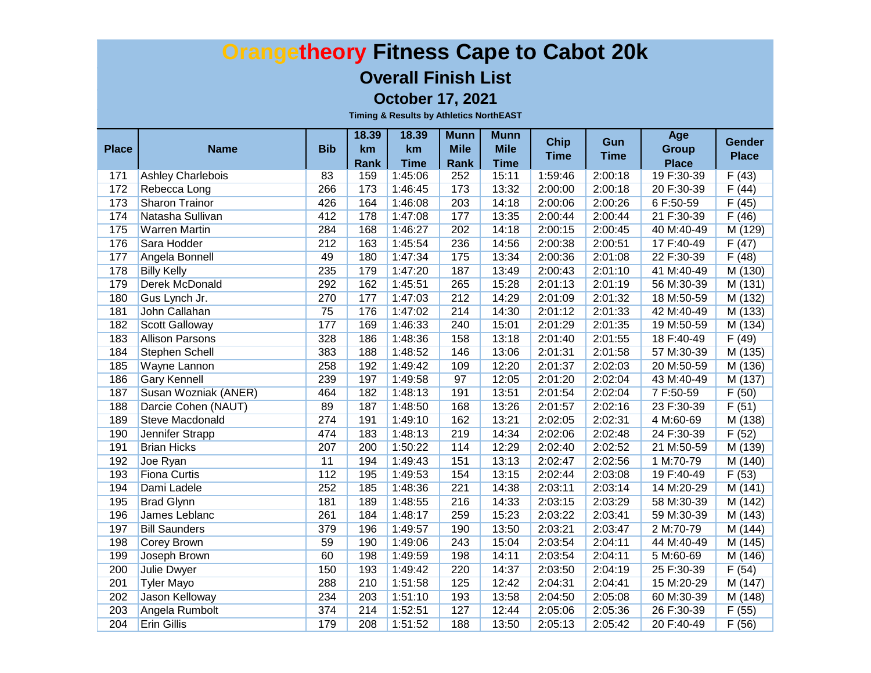#### **Overall Finish List**

**October 17, 2021**

|              |                                       |            | 18.39       | 18.39              | <b>Munn</b>        | <b>Munn</b>    | <b>Chip</b>        | Gun                | Age                     | <b>Gender</b>  |
|--------------|---------------------------------------|------------|-------------|--------------------|--------------------|----------------|--------------------|--------------------|-------------------------|----------------|
| <b>Place</b> | <b>Name</b>                           | <b>Bib</b> | km          | km                 | <b>Mile</b>        | <b>Mile</b>    | <b>Time</b>        | <b>Time</b>        | <b>Group</b>            | <b>Place</b>   |
|              |                                       | 83         | Rank<br>159 | <b>Time</b>        | <b>Rank</b><br>252 | <b>Time</b>    |                    |                    | <b>Place</b>            |                |
| 171          | <b>Ashley Charlebois</b>              | 266        |             | 1:45:06            |                    | 15:11          | 1:59:46            | 2:00:18            | 19 F:30-39              | F(43)          |
| 172<br>173   | Rebecca Long<br><b>Sharon Trainor</b> | 426        | 173<br>164  | 1:46:45<br>1:46:08 | 173<br>203         | 13:32<br>14:18 | 2:00:00<br>2:00:06 | 2:00:18<br>2:00:26 | 20 F:30-39<br>6 F:50-59 | F(44)<br>F(45) |
| 174          |                                       | 412        | 178         |                    |                    | 13:35          |                    |                    | 21 F:30-39              |                |
|              | Natasha Sullivan                      | 284        |             | 1:47:08            | 177                |                | 2:00:44            | 2:00:44            |                         | F(46)          |
| 175          | <b>Warren Martin</b>                  | 212        | 168         | 1:46:27            | 202                | 14:18          | 2:00:15            | 2:00:45            | 40 M:40-49              | M(129)         |
| 176          | Sara Hodder                           |            | 163         | 1:45:54            | 236                | 14:56          | 2:00:38            | 2:00:51            | 17 F:40-49              | F(47)          |
| 177          | Angela Bonnell                        | 49         | 180         | 1:47:34            | 175                | 13:34          | 2:00:36            | 2:01:08            | 22 F:30-39              | F(48)          |
| 178          | <b>Billy Kelly</b>                    | 235        | 179         | 1:47:20            | 187                | 13:49          | 2:00:43            | 2:01:10            | 41 M:40-49              | M(130)         |
| 179          | Derek McDonald                        | 292        | 162         | 1:45:51            | 265                | 15:28          | 2:01:13            | 2:01:19            | 56 M:30-39              | M(131)         |
| 180          | Gus Lynch Jr.                         | 270        | 177         | 1:47:03            | 212                | 14:29          | 2:01:09            | 2:01:32            | 18 M:50-59              | M (132)        |
| 181          | John Callahan                         | 75         | 176         | 1:47:02            | 214                | 14:30          | 2:01:12            | 2:01:33            | 42 M:40-49              | M (133)        |
| 182          | <b>Scott Galloway</b>                 | 177        | 169         | 1:46:33            | 240                | 15:01          | 2:01:29            | 2:01:35            | 19 M:50-59              | M (134)        |
| 183          | <b>Allison Parsons</b>                | 328        | 186         | 1:48:36            | 158                | 13:18          | 2:01:40            | 2:01:55            | 18 F:40-49              | F(49)          |
| 184          | <b>Stephen Schell</b>                 | 383        | 188         | 1:48:52            | 146                | 13:06          | 2:01:31            | 2:01:58            | 57 M:30-39              | M (135)        |
| 185          | <b>Wayne Lannon</b>                   | 258        | 192         | 1:49:42            | 109                | 12:20          | 2:01:37            | 2:02:03            | 20 M:50-59              | M (136)        |
| 186          | <b>Gary Kennell</b>                   | 239        | 197         | 1:49:58            | 97                 | 12:05          | 2:01:20            | 2:02:04            | 43 M:40-49              | M (137)        |
| 187          | Susan Wozniak (ANER)                  | 464        | 182         | 1:48:13            | 191                | 13:51          | 2:01:54            | 2:02:04            | 7F:50-59                | F(50)          |
| 188          | Darcie Cohen (NAUT)                   | 89         | 187         | 1:48:50            | 168                | 13:26          | 2:01:57            | 2:02:16            | 23 F:30-39              | F(51)          |
| 189          | <b>Steve Macdonald</b>                | 274        | 191         | 1:49:10            | 162                | 13:21          | 2:02:05            | 2:02:31            | 4 M:60-69               | M(138)         |
| 190          | Jennifer Strapp                       | 474        | 183         | 1:48:13            | 219                | 14:34          | 2:02:06            | 2:02:48            | 24 F:30-39              | F(52)          |
| 191          | <b>Brian Hicks</b>                    | 207        | 200         | 1:50:22            | 114                | 12:29          | 2:02:40            | 2:02:52            | 21 M:50-59              | M(139)         |
| 192          | Joe Ryan                              | 11         | 194         | 1:49:43            | 151                | 13:13          | 2:02:47            | 2:02:56            | 1 M:70-79               | M(140)         |
| 193          | <b>Fiona Curtis</b>                   | 112        | 195         | 1:49:53            | 154                | 13:15          | 2:02:44            | 2:03:08            | 19 F:40-49              | F(53)          |
| 194          | Dami Ladele                           | 252        | 185         | 1:48:36            | 221                | 14:38          | 2:03:11            | 2:03:14            | 14 M:20-29              | M(141)         |
| 195          | <b>Brad Glynn</b>                     | 181        | 189         | 1:48:55            | 216                | 14:33          | 2:03:15            | 2:03:29            | 58 M:30-39              | M(142)         |
| 196          | James Leblanc                         | 261        | 184         | 1:48:17            | 259                | 15:23          | 2:03:22            | 2:03:41            | 59 M:30-39              | M(143)         |
| 197          | <b>Bill Saunders</b>                  | 379        | 196         | 1:49:57            | 190                | 13:50          | 2:03:21            | 2:03:47            | 2 M:70-79               | M (144)        |
| 198          | <b>Corey Brown</b>                    | 59         | 190         | 1:49:06            | 243                | 15:04          | 2:03:54            | 2:04:11            | 44 M:40-49              | M (145)        |
| 199          | Joseph Brown                          | 60         | 198         | 1:49:59            | 198                | 14:11          | 2:03:54            | 2:04:11            | 5 M:60-69               | M(146)         |
| 200          | <b>Julie Dwyer</b>                    | 150        | 193         | 1:49:42            | 220                | 14:37          | 2:03:50            | 2:04:19            | 25 F:30-39              | F(54)          |
| 201          | <b>Tyler Mayo</b>                     | 288        | 210         | 1:51:58            | 125                | 12:42          | 2:04:31            | 2:04:41            | 15 M:20-29              | M(147)         |
| 202          | Jason Kelloway                        | 234        | 203         | 1:51:10            | 193                | 13:58          | 2:04:50            | 2:05:08            | 60 M:30-39              | M (148)        |
| 203          | Angela Rumbolt                        | 374        | 214         | 1:52:51            | 127                | 12:44          | 2:05:06            | 2:05:36            | 26 F:30-39              | F(55)          |
| 204          | <b>Erin Gillis</b>                    | 179        | 208         | 1:51:52            | 188                | 13:50          | 2:05:13            | 2:05:42            | 20 F:40-49              | F(56)          |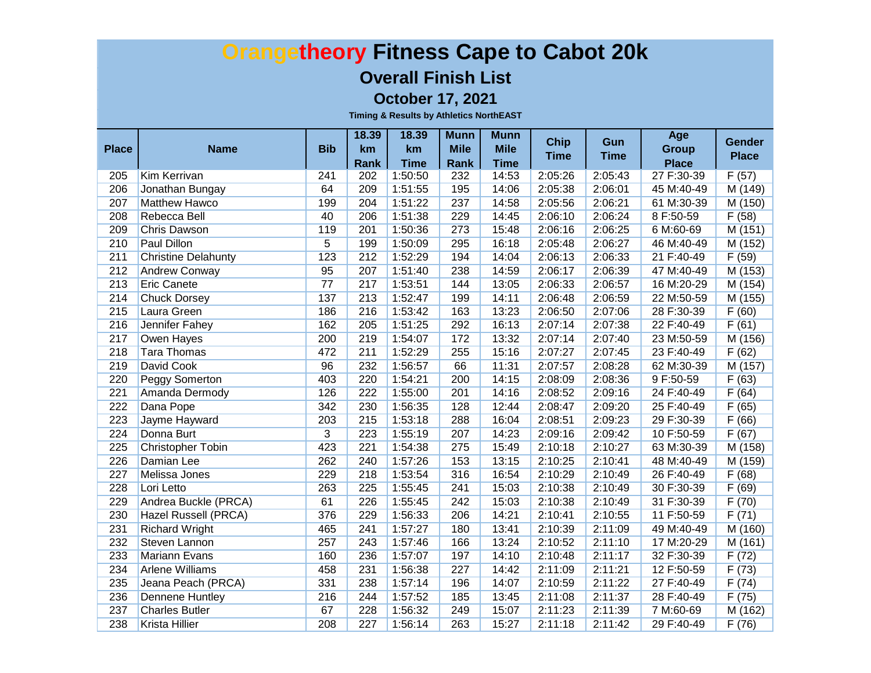#### **Overall Finish List**

**October 17, 2021**

| <b>Place</b> | <b>Name</b>                | <b>Bib</b>      | 18.39<br>km | 18.39<br>km | <b>Munn</b><br><b>Mile</b> | <b>Munn</b><br><b>Mile</b> | <b>Chip</b><br><b>Time</b> | Gun<br><b>Time</b> | Age<br><b>Group</b> | <b>Gender</b><br><b>Place</b> |
|--------------|----------------------------|-----------------|-------------|-------------|----------------------------|----------------------------|----------------------------|--------------------|---------------------|-------------------------------|
|              |                            |                 | Rank        | <b>Time</b> | Rank                       | <b>Time</b>                |                            |                    | <b>Place</b>        |                               |
| 205          | <b>Kim Kerrivan</b>        | 241             | 202         | 1:50:50     | 232                        | 14:53                      | 2:05:26                    | 2:05:43            | 27 F:30-39          | F(57)                         |
| 206          | Jonathan Bungay            | 64              | 209         | 1:51:55     | 195                        | 14:06                      | 2:05:38                    | 2:06:01            | 45 M:40-49          | M(149)                        |
| 207          | <b>Matthew Hawco</b>       | 199             | 204         | 1:51:22     | 237                        | 14:58                      | 2:05:56                    | 2:06:21            | 61 M:30-39          | M(150)                        |
| 208          | Rebecca Bell               | 40              | 206         | 1:51:38     | 229                        | 14:45                      | 2:06:10                    | 2:06:24            | 8 F:50-59           | F(58)                         |
| 209          | <b>Chris Dawson</b>        | 119             | 201         | 1:50:36     | 273                        | 15:48                      | 2:06:16                    | 2:06:25            | 6 M:60-69           | M(151)                        |
| 210          | <b>Paul Dillon</b>         | $\overline{5}$  | 199         | 1:50:09     | 295                        | 16:18                      | 2:05:48                    | 2:06:27            | 46 M:40-49          | M(152)                        |
| 211          | <b>Christine Delahunty</b> | 123             | 212         | 1:52:29     | 194                        | 14:04                      | 2:06:13                    | 2:06:33            | 21 F:40-49          | F(59)                         |
| 212          | <b>Andrew Conway</b>       | 95              | 207         | 1:51:40     | 238                        | 14:59                      | 2:06:17                    | 2:06:39            | 47 M:40-49          | M(153)                        |
| 213          | <b>Eric Canete</b>         | $\overline{77}$ | 217         | 1:53:51     | 144                        | 13:05                      | 2:06:33                    | 2:06:57            | 16 M:20-29          | M(154)                        |
| 214          | <b>Chuck Dorsey</b>        | 137             | 213         | 1:52:47     | 199                        | 14:11                      | 2:06:48                    | 2:06:59            | 22 M:50-59          | M(155)                        |
| 215          | Laura Green                | 186             | 216         | 1:53:42     | 163                        | 13:23                      | 2:06:50                    | 2:07:06            | 28 F:30-39          | F(60)                         |
| 216          | Jennifer Fahey             | 162             | 205         | 1:51:25     | 292                        | 16:13                      | 2:07:14                    | 2:07:38            | 22 F:40-49          | F(61)                         |
| 217          | Owen Hayes                 | 200             | 219         | 1:54:07     | 172                        | 13:32                      | 2:07:14                    | 2:07:40            | 23 M:50-59          | M (156)                       |
| 218          | <b>Tara Thomas</b>         | 472             | 211         | 1:52:29     | 255                        | 15:16                      | 2:07:27                    | 2:07:45            | 23 F:40-49          | F(62)                         |
| 219          | David Cook                 | 96              | 232         | 1:56:57     | 66                         | 11:31                      | 2:07:57                    | 2:08:28            | 62 M:30-39          | M (157)                       |
| 220          | <b>Peggy Somerton</b>      | 403             | 220         | 1:54:21     | 200                        | 14:15                      | 2:08:09                    | 2:08:36            | 9 F:50-59           | F(63)                         |
| 221          | Amanda Dermody             | 126             | 222         | 1:55:00     | 201                        | 14:16                      | 2:08:52                    | 2:09:16            | 24 F:40-49          | F(64)                         |
| 222          | Dana Pope                  | 342             | 230         | 1:56:35     | 128                        | 12:44                      | 2:08:47                    | 2:09:20            | 25 F:40-49          | F(65)                         |
| 223          | Jayme Hayward              | 203             | 215         | 1:53:18     | 288                        | 16:04                      | 2:08:51                    | 2:09:23            | 29 F:30-39          | F(66)                         |
| 224          | Donna Burt                 | $\overline{3}$  | 223         | 1:55:19     | 207                        | 14:23                      | 2:09:16                    | 2:09:42            | 10 F:50-59          | F(67)                         |
| 225          | <b>Christopher Tobin</b>   | 423             | 221         | 1:54:38     | 275                        | 15:49                      | 2:10:18                    | 2:10:27            | 63 M:30-39          | M(158)                        |
| 226          | Damian Lee                 | 262             | 240         | 1:57:26     | 153                        | 13:15                      | 2:10:25                    | 2:10:41            | 48 M:40-49          | M (159)                       |
| 227          | Melissa Jones              | 229             | 218         | 1:53:54     | 316                        | 16:54                      | 2:10:29                    | 2:10:49            | 26 F:40-49          | F(68)                         |
| 228          | Lori Letto                 | 263             | 225         | 1:55:45     | 241                        | 15:03                      | 2:10:38                    | 2:10:49            | 30 F:30-39          | F(69)                         |
| 229          | Andrea Buckle (PRCA)       | 61              | 226         | 1:55:45     | 242                        | 15:03                      | 2:10:38                    | 2:10:49            | 31 F:30-39          | F(70)                         |
| 230          | Hazel Russell (PRCA)       | 376             | 229         | 1:56:33     | 206                        | 14:21                      | 2:10:41                    | 2:10:55            | 11 F:50-59          | F(71)                         |
| 231          | <b>Richard Wright</b>      | 465             | 241         | 1:57:27     | 180                        | 13:41                      | 2:10:39                    | 2:11:09            | 49 M:40-49          | M (160)                       |
| 232          | Steven Lannon              | 257             | 243         | 1:57:46     | 166                        | 13:24                      | 2:10:52                    | 2:11:10            | 17 M:20-29          | M (161)                       |
| 233          | <b>Mariann Evans</b>       | 160             | 236         | 1:57:07     | 197                        | 14:10                      | 2:10:48                    | 2:11:17            | 32 F:30-39          | F(72)                         |
| 234          | <b>Arlene Williams</b>     | 458             | 231         | 1:56:38     | 227                        | 14:42                      | 2:11:09                    | 2:11:21            | 12 F:50-59          | F(73)                         |
| 235          | Jeana Peach (PRCA)         | 331             | 238         | 1:57:14     | 196                        | 14:07                      | 2:10:59                    | 2:11:22            | 27 F:40-49          | F(74)                         |
| 236          | <b>Dennene Huntley</b>     | 216             | 244         | 1:57:52     | 185                        | 13:45                      | 2:11:08                    | 2:11:37            | 28 F:40-49          | F(75)                         |
| 237          | <b>Charles Butler</b>      | 67              | 228         | 1:56:32     | 249                        | 15:07                      | 2:11:23                    | 2:11:39            | 7 M:60-69           | M (162)                       |
| 238          | <b>Krista Hillier</b>      | 208             | 227         | 1:56:14     | 263                        | 15:27                      | 2:11:18                    | 2:11:42            | 29 F:40-49          | F(76)                         |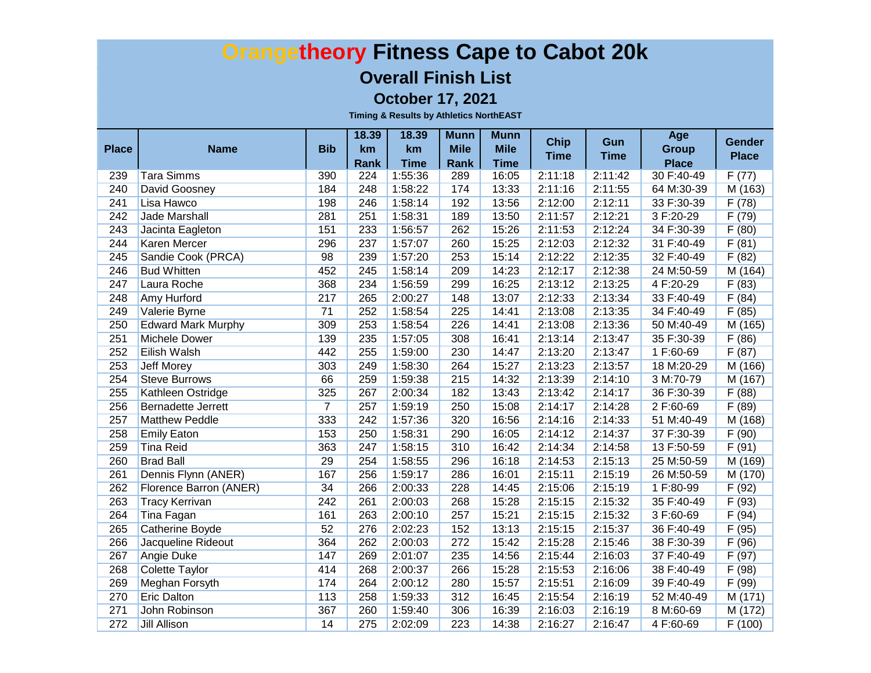#### **Overall Finish List**

**October 17, 2021**

| <b>Place</b> | <b>Name</b>               | <b>Bib</b>     | 18.39<br>km | 18.39<br>km | <b>Munn</b><br><b>Mile</b> | <b>Munn</b><br><b>Mile</b> | <b>Chip</b> | Gun         | Age<br><b>Group</b> | <b>Gender</b> |
|--------------|---------------------------|----------------|-------------|-------------|----------------------------|----------------------------|-------------|-------------|---------------------|---------------|
|              |                           |                | Rank        | <b>Time</b> | Rank                       | <b>Time</b>                | <b>Time</b> | <b>Time</b> | <b>Place</b>        | <b>Place</b>  |
| 239          | <b>Tara Simms</b>         | 390            | 224         | 1:55:36     | 289                        | 16:05                      | 2:11:18     | 2:11:42     | 30 F:40-49          | F(77)         |
| 240          | <b>David Goosney</b>      | 184            | 248         | 1:58:22     | 174                        | 13:33                      | 2:11:16     | 2:11:55     | 64 M:30-39          | M(163)        |
| 241          | Lisa Hawco                | 198            | 246         | 1:58:14     | 192                        | 13:56                      | 2:12:00     | 2:12:11     | 33 F:30-39          | F(78)         |
| 242          | <b>Jade Marshall</b>      | 281            | 251         | 1:58:31     | 189                        | 13:50                      | 2:11:57     | 2:12:21     | 3 F:20-29           | F(79)         |
| 243          | Jacinta Eagleton          | 151            | 233         | 1:56:57     | 262                        | 15:26                      | 2:11:53     | 2:12:24     | 34 F:30-39          | F(80)         |
| 244          | <b>Karen Mercer</b>       | 296            | 237         | 1:57:07     | 260                        | 15:25                      | 2:12:03     | 2:12:32     | 31 F:40-49          | F(81)         |
| 245          | Sandie Cook (PRCA)        | 98             | 239         | 1:57:20     | 253                        | 15:14                      | 2:12:22     | 2:12:35     | 32 F:40-49          | F(82)         |
| 246          | <b>Bud Whitten</b>        | 452            | 245         | 1:58:14     | 209                        | 14:23                      | 2:12:17     | 2:12:38     | 24 M:50-59          | M (164)       |
| 247          | <b>Laura Roche</b>        | 368            | 234         | 1:56:59     | 299                        | 16:25                      | 2:13:12     | 2:13:25     | 4 F:20-29           | F(83)         |
| 248          | <b>Amy Hurford</b>        | 217            | 265         | 2:00:27     | 148                        | 13:07                      | 2:12:33     | 2:13:34     | 33 F:40-49          | F(84)         |
| 249          | Valerie Byrne             | 71             | 252         | 1:58:54     | 225                        | 14:41                      | 2:13:08     | 2:13:35     | 34 F:40-49          | F(85)         |
| 250          | <b>Edward Mark Murphy</b> | 309            | 253         | 1:58:54     | 226                        | 14:41                      | 2:13:08     | 2:13:36     | 50 M:40-49          | M (165)       |
| 251          | Michele Dower             | 139            | 235         | 1:57:05     | 308                        | 16:41                      | 2:13:14     | 2:13:47     | 35 F:30-39          | F(86)         |
| 252          | <b>Eilish Walsh</b>       | 442            | 255         | 1:59:00     | 230                        | 14:47                      | 2:13:20     | 2:13:47     | 1 F:60-69           | F(87)         |
| 253          | <b>Jeff Morey</b>         | 303            | 249         | 1:58:30     | 264                        | 15:27                      | 2:13:23     | 2:13:57     | 18 M:20-29          | M (166)       |
| 254          | <b>Steve Burrows</b>      | 66             | 259         | 1:59:38     | 215                        | 14:32                      | 2:13:39     | 2:14:10     | 3 M:70-79           | M (167)       |
| 255          | Kathleen Ostridge         | 325            | 267         | 2:00:34     | 182                        | 13:43                      | 2:13:42     | 2:14:17     | 36 F:30-39          | F(88)         |
| 256          | Bernadette Jerrett        | $\overline{7}$ | 257         | 1:59:19     | 250                        | 15:08                      | 2:14:17     | 2:14:28     | 2 F:60-69           | F(89)         |
| 257          | <b>Matthew Peddle</b>     | 333            | 242         | 1:57:36     | 320                        | 16:56                      | 2:14:16     | 2:14:33     | 51 M:40-49          | M (168)       |
| 258          | <b>Emily Eaton</b>        | 153            | 250         | 1:58:31     | 290                        | 16:05                      | 2:14:12     | 2:14:37     | 37 F:30-39          | F(90)         |
| 259          | <b>Tina Reid</b>          | 363            | 247         | 1:58:15     | 310                        | 16:42                      | 2:14:34     | 2:14:58     | 13 F:50-59          | F(91)         |
| 260          | <b>Brad Ball</b>          | 29             | 254         | 1:58:55     | 296                        | 16:18                      | 2:14:53     | 2:15:13     | 25 M:50-59          | M(169)        |
| 261          | Dennis Flynn (ANER)       | 167            | 256         | 1:59:17     | 286                        | 16:01                      | 2:15:11     | 2:15:19     | 26 M:50-59          | M(170)        |
| 262          | Florence Barron (ANER)    | 34             | 266         | 2:00:33     | 228                        | 14:45                      | 2:15:06     | 2:15:19     | 1 F:80-99           | F(92)         |
| 263          | <b>Tracy Kerrivan</b>     | 242            | 261         | 2:00:03     | 268                        | 15:28                      | 2:15:15     | 2:15:32     | 35 F:40-49          | F(93)         |
| 264          | Tina Fagan                | 161            | 263         | 2:00:10     | 257                        | 15:21                      | 2:15:15     | 2:15:32     | 3 F:60-69           | F(94)         |
| 265          | Catherine Boyde           | 52             | 276         | 2:02:23     | 152                        | 13:13                      | 2:15:15     | 2:15:37     | 36 F:40-49          | F(95)         |
| 266          | Jacqueline Rideout        | 364            | 262         | 2:00:03     | 272                        | 15:42                      | 2:15:28     | 2:15:46     | 38 F:30-39          | F(96)         |
| 267          | Angie Duke                | 147            | 269         | 2:01:07     | 235                        | 14:56                      | 2:15:44     | 2:16:03     | 37 F:40-49          | F(97)         |
| 268          | <b>Colette Taylor</b>     | 414            | 268         | 2:00:37     | 266                        | 15:28                      | 2:15:53     | 2:16:06     | 38 F:40-49          | F(98)         |
| 269          | <b>Meghan Forsyth</b>     | 174            | 264         | 2:00:12     | 280                        | 15:57                      | 2:15:51     | 2:16:09     | 39 F:40-49          | F(99)         |
| 270          | <b>Eric Dalton</b>        | 113            | 258         | 1:59:33     | 312                        | 16:45                      | 2:15:54     | 2:16:19     | 52 M:40-49          | M(171)        |
| 271          | John Robinson             | 367            | 260         | 1:59:40     | 306                        | 16:39                      | 2:16:03     | 2:16:19     | 8 M:60-69           | M(172)        |
| 272          | <b>Jill Allison</b>       | 14             | 275         | 2:02:09     | 223                        | 14:38                      | 2:16:27     | 2:16:47     | 4 F:60-69           | F(100)        |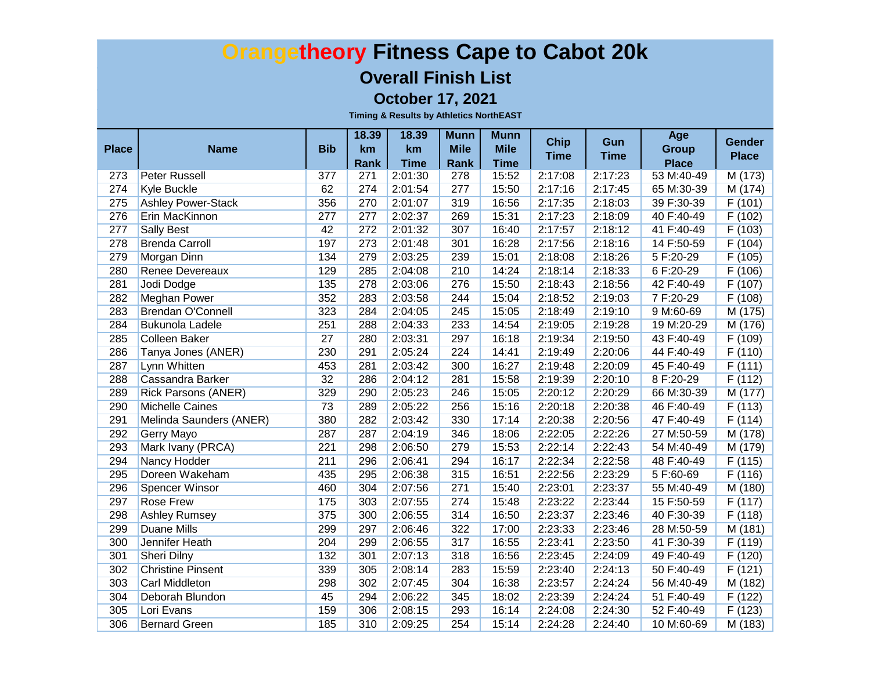#### **Overall Finish List**

**October 17, 2021**

| <b>Place</b> | <b>Name</b>                | <b>Bib</b> | 18.39<br><b>km</b><br>Rank | 18.39<br>km<br><b>Time</b> | <b>Munn</b><br><b>Mile</b><br><b>Rank</b> | <b>Munn</b><br><b>Mile</b><br><b>Time</b> | <b>Chip</b><br><b>Time</b> | Gun<br><b>Time</b> | Age<br><b>Group</b><br><b>Place</b> | <b>Gender</b><br><b>Place</b> |
|--------------|----------------------------|------------|----------------------------|----------------------------|-------------------------------------------|-------------------------------------------|----------------------------|--------------------|-------------------------------------|-------------------------------|
| 273          | Peter Russell              | 377        | 271                        | 2:01:30                    | 278                                       | 15:52                                     | 2:17:08                    | 2:17:23            | 53 M:40-49                          | M (173)                       |
| 274          | <b>Kyle Buckle</b>         | 62         | 274                        | 2:01:54                    | 277                                       | 15:50                                     | 2:17:16                    | 2:17:45            | 65 M:30-39                          | M(174)                        |
| 275          | <b>Ashley Power-Stack</b>  | 356        | 270                        | 2:01:07                    | 319                                       | 16:56                                     | 2:17:35                    | 2:18:03            | 39 F:30-39                          | F(101)                        |
| 276          | Erin MacKinnon             | 277        | 277                        | 2:02:37                    | 269                                       | 15:31                                     | 2:17:23                    | 2:18:09            | 40 F:40-49                          | F(102)                        |
| 277          | <b>Sally Best</b>          | 42         | 272                        | 2:01:32                    | 307                                       | 16:40                                     | 2:17:57                    | 2:18:12            | 41 F:40-49                          | F(103)                        |
| 278          | <b>Brenda Carroll</b>      | 197        | 273                        | 2:01:48                    | 301                                       | 16:28                                     | 2:17:56                    | 2:18:16            | 14 F:50-59                          | F(104)                        |
| 279          | <b>Morgan Dinn</b>         | 134        | 279                        | 2:03:25                    | 239                                       | 15:01                                     | 2:18:08                    | 2:18:26            | 5F:20-29                            | F(105)                        |
| 280          | <b>Renee Devereaux</b>     | 129        | 285                        | 2:04:08                    | 210                                       | 14:24                                     | 2:18:14                    | 2:18:33            | 6 F:20-29                           | F(106)                        |
| 281          | Jodi Dodge                 | 135        | 278                        | 2:03:06                    | 276                                       | 15:50                                     | 2:18:43                    | 2:18:56            | 42 F:40-49                          | F(107)                        |
| 282          | Meghan Power               | 352        | 283                        | 2:03:58                    | 244                                       | 15:04                                     | 2:18:52                    | 2:19:03            | 7F:20-29                            | F(108)                        |
| 283          | <b>Brendan O'Connell</b>   | 323        | 284                        | 2:04:05                    | 245                                       | 15:05                                     | 2:18:49                    | 2:19:10            | 9 M:60-69                           | M(175)                        |
| 284          | <b>Bukunola Ladele</b>     | 251        | 288                        | 2:04:33                    | 233                                       | 14:54                                     | 2:19:05                    | 2:19:28            | 19 M:20-29                          | M(176)                        |
| 285          | <b>Colleen Baker</b>       | 27         | 280                        | 2:03:31                    | 297                                       | 16:18                                     | 2:19:34                    | 2:19:50            | 43 F:40-49                          | F(109)                        |
| 286          | Tanya Jones (ANER)         | 230        | 291                        | 2:05:24                    | 224                                       | 14:41                                     | 2:19:49                    | 2:20:06            | 44 F:40-49                          | F(110)                        |
| 287          | Lynn Whitten               | 453        | 281                        | 2:03:42                    | 300                                       | 16:27                                     | 2:19:48                    | 2:20:09            | 45 F:40-49                          | F(111)                        |
| 288          | <b>Cassandra Barker</b>    | 32         | 286                        | 2:04:12                    | 281                                       | 15:58                                     | 2:19:39                    | 2:20:10            | 8 F:20-29                           | F(112)                        |
| 289          | <b>Rick Parsons (ANER)</b> | 329        | 290                        | 2:05:23                    | 246                                       | 15:05                                     | 2:20:12                    | 2:20:29            | 66 M:30-39                          | M (177)                       |
| 290          | Michelle Caines            | 73         | 289                        | 2:05:22                    | 256                                       | 15:16                                     | 2:20:18                    | 2:20:38            | 46 F:40-49                          | F(113)                        |
| 291          | Melinda Saunders (ANER)    | 380        | 282                        | 2:03:42                    | 330                                       | 17:14                                     | 2:20:38                    | 2:20:56            | 47 F:40-49                          | $\overline{F(114)}$           |
| 292          | Gerry Mayo                 | 287        | 287                        | 2:04:19                    | 346                                       | 18:06                                     | 2:22:05                    | 2:22:26            | 27 M:50-59                          | M (178)                       |
| 293          | Mark Ivany (PRCA)          | 221        | 298                        | 2:06:50                    | 279                                       | 15:53                                     | 2:22:14                    | 2:22:43            | 54 M:40-49                          | M (179)                       |
| 294          | <b>Nancy Hodder</b>        | 211        | 296                        | 2:06:41                    | 294                                       | 16:17                                     | 2:22:34                    | 2:22:58            | 48 F:40-49                          | F (115)                       |
| 295          | Doreen Wakeham             | 435        | 295                        | 2:06:38                    | 315                                       | 16:51                                     | 2:22:56                    | 2:23:29            | 5F:60-69                            | F(116)                        |
| 296          | <b>Spencer Winsor</b>      | 460        | 304                        | 2:07:56                    | 271                                       | 15:40                                     | 2:23:01                    | 2:23:37            | 55 M:40-49                          | M (180)                       |
| 297          | <b>Rose Frew</b>           | 175        | 303                        | 2:07:55                    | 274                                       | 15:48                                     | 2:23:22                    | 2:23:44            | 15 F:50-59                          | $\overline{F}(117)$           |
| 298          | <b>Ashley Rumsey</b>       | 375        | 300                        | 2:06:55                    | 314                                       | 16:50                                     | 2:23:37                    | 2:23:46            | 40 F:30-39                          | F(118)                        |
| 299          | Duane Mills                | 299        | 297                        | 2:06:46                    | 322                                       | 17:00                                     | 2:23:33                    | 2:23:46            | 28 M:50-59                          | M (181)                       |
| 300          | Jennifer Heath             | 204        | 299                        | 2:06:55                    | 317                                       | 16:55                                     | 2:23:41                    | 2:23:50            | 41 F:30-39                          | F (119)                       |
| 301          | Sheri Dilny                | 132        | 301                        | 2:07:13                    | 318                                       | 16:56                                     | 2:23:45                    | 2:24:09            | 49 F:40-49                          | F(120)                        |
| 302          | <b>Christine Pinsent</b>   | 339        | 305                        | 2:08:14                    | 283                                       | 15:59                                     | 2:23:40                    | 2:24:13            | 50 F:40-49                          | F(121)                        |
| 303          | <b>Carl Middleton</b>      | 298        | 302                        | 2:07:45                    | 304                                       | 16:38                                     | 2:23:57                    | 2:24:24            | 56 M:40-49                          | M(182)                        |
| 304          | Deborah Blundon            | 45         | 294                        | 2:06:22                    | 345                                       | 18:02                                     | 2:23:39                    | 2:24:24            | 51 F:40-49                          | F(122)                        |
| 305          | Lori Evans                 | 159        | 306                        | 2:08:15                    | 293                                       | 16:14                                     | 2:24:08                    | 2:24:30            | 52 F:40-49                          | F(123)                        |
| 306          | <b>Bernard Green</b>       | 185        | 310                        | 2:09:25                    | 254                                       | 15:14                                     | 2:24:28                    | 2:24:40            | 10 M:60-69                          | M(183)                        |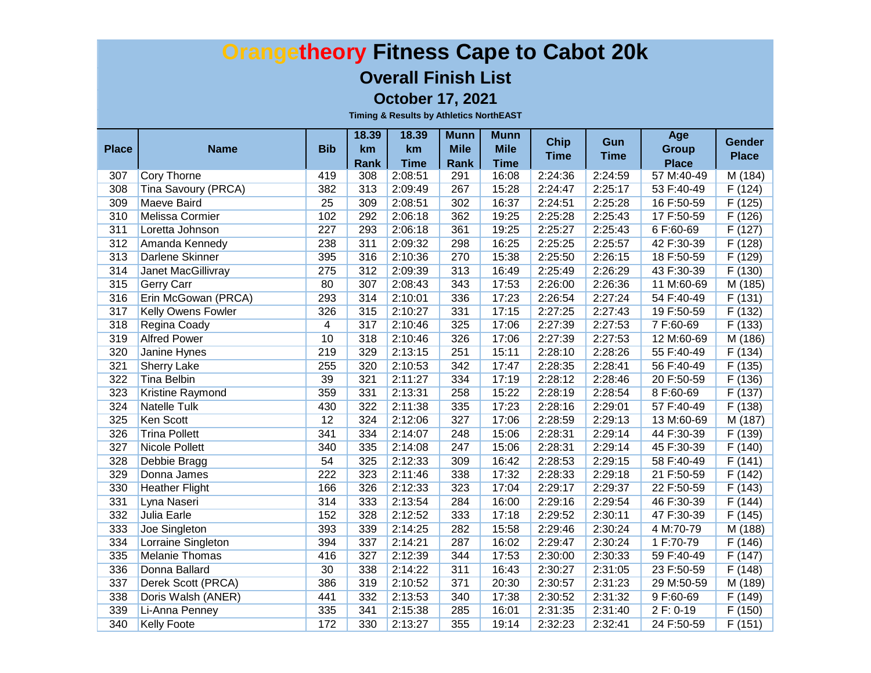#### **Overall Finish List**

**October 17, 2021**

| <b>Place</b> | <b>Name</b>               | <b>Bib</b>     | 18.39<br>km | 18.39<br>km | <b>Munn</b><br><b>Mile</b> | <b>Munn</b><br><b>Mile</b> | <b>Chip</b> | Gun         | Age<br><b>Group</b> | <b>Gender</b>       |
|--------------|---------------------------|----------------|-------------|-------------|----------------------------|----------------------------|-------------|-------------|---------------------|---------------------|
|              |                           |                | Rank        | <b>Time</b> | Rank                       | <b>Time</b>                | <b>Time</b> | <b>Time</b> | <b>Place</b>        | <b>Place</b>        |
| 307          | Cory Thorne               | 419            | 308         | 2:08:51     | 291                        | 16:08                      | 2:24:36     | 2:24:59     | 57 M:40-49          | M(184)              |
| 308          | Tina Savoury (PRCA)       | 382            | 313         | 2:09:49     | 267                        | 15:28                      | 2:24:47     | 2:25:17     | 53 F:40-49          | F(124)              |
| 309          | <b>Maeve Baird</b>        | 25             | 309         | 2:08:51     | 302                        | 16:37                      | 2:24:51     | 2:25:28     | 16 F:50-59          | F(125)              |
| 310          | <b>Melissa Cormier</b>    | 102            | 292         | 2:06:18     | 362                        | 19:25                      | 2:25:28     | 2:25:43     | 17 F:50-59          | F(126)              |
| 311          | Loretta Johnson           | 227            | 293         | 2:06:18     | 361                        | 19:25                      | 2:25:27     | 2:25:43     | 6 F:60-69           | F(127)              |
| 312          | Amanda Kennedy            | 238            | 311         | 2:09:32     | 298                        | 16:25                      | 2:25:25     | 2:25:57     | 42 F:30-39          | F(128)              |
| 313          | Darlene Skinner           | 395            | 316         | 2:10:36     | 270                        | 15:38                      | 2:25:50     | 2:26:15     | 18 F:50-59          | F(129)              |
| 314          | <b>Janet MacGillivray</b> | 275            | 312         | 2:09:39     | 313                        | 16:49                      | 2:25:49     | 2:26:29     | 43 F:30-39          | F(130)              |
| 315          | <b>Gerry Carr</b>         | 80             | 307         | 2:08:43     | 343                        | 17:53                      | 2:26:00     | 2:26:36     | 11 M:60-69          | M(185)              |
| 316          | Erin McGowan (PRCA)       | 293            | 314         | 2:10:01     | 336                        | 17:23                      | 2:26:54     | 2:27:24     | 54 F:40-49          | $\overline{F(131)}$ |
| 317          | <b>Kelly Owens Fowler</b> | 326            | 315         | 2:10:27     | 331                        | 17:15                      | 2:27:25     | 2:27:43     | 19 F:50-59          | F(132)              |
| 318          | Regina Coady              | $\overline{4}$ | 317         | 2:10:46     | 325                        | 17:06                      | 2:27:39     | 2:27:53     | 7F:60-69            | F(133)              |
| 319          | <b>Alfred Power</b>       | 10             | 318         | 2:10:46     | 326                        | 17:06                      | 2:27:39     | 2:27:53     | 12 M:60-69          | M (186)             |
| 320          | <b>Janine Hynes</b>       | 219            | 329         | 2:13:15     | 251                        | 15:11                      | 2:28:10     | 2:28:26     | 55 F:40-49          | F(134)              |
| 321          | <b>Sherry Lake</b>        | 255            | 320         | 2:10:53     | 342                        | 17:47                      | 2:28:35     | 2:28:41     | 56 F:40-49          | F(135)              |
| 322          | <b>Tina Belbin</b>        | 39             | 321         | 2:11:27     | 334                        | 17:19                      | 2:28:12     | 2:28:46     | 20 F:50-59          | F(136)              |
| 323          | <b>Kristine Raymond</b>   | 359            | 331         | 2:13:31     | 258                        | 15:22                      | 2:28:19     | 2:28:54     | 8 F:60-69           | F(137)              |
| 324          | Natelle Tulk              | 430            | 322         | 2:11:38     | 335                        | 17:23                      | 2:28:16     | 2:29:01     | 57 F:40-49          | F(138)              |
| 325          | <b>Ken Scott</b>          | 12             | 324         | 2:12:06     | 327                        | 17:06                      | 2:28:59     | 2:29:13     | 13 M:60-69          | M (187)             |
| 326          | <b>Trina Pollett</b>      | 341            | 334         | 2:14:07     | 248                        | 15:06                      | 2:28:31     | 2:29:14     | 44 F:30-39          | F (139)             |
| 327          | Nicole Pollett            | 340            | 335         | 2:14:08     | 247                        | 15:06                      | 2:28:31     | 2:29:14     | 45 F:30-39          | F(140)              |
| 328          | Debbie Bragg              | 54             | 325         | 2:12:33     | 309                        | 16:42                      | 2:28:53     | 2:29:15     | 58 F:40-49          | F(141)              |
| 329          | Donna James               | 222            | 323         | 2:11:46     | 338                        | 17:32                      | 2:28:33     | 2:29:18     | 21 F:50-59          | F (142)             |
| 330          | <b>Heather Flight</b>     | 166            | 326         | 2:12:33     | 323                        | 17:04                      | 2:29:17     | 2:29:37     | 22 F:50-59          | F(143)              |
| 331          | Lyna Naseri               | 314            | 333         | 2:13:54     | 284                        | 16:00                      | 2:29:16     | 2:29:54     | 46 F:30-39          | F (144)             |
| 332          | <b>Julia Earle</b>        | 152            | 328         | 2:12:52     | 333                        | 17:18                      | 2:29:52     | 2:30:11     | 47 F:30-39          | F (145)             |
| 333          | Joe Singleton             | 393            | 339         | 2:14:25     | 282                        | 15:58                      | 2:29:46     | 2:30:24     | 4 M:70-79           | M (188)             |
| 334          | Lorraine Singleton        | 394            | 337         | 2:14:21     | 287                        | 16:02                      | 2:29:47     | 2:30:24     | 1 F:70-79           | F(146)              |
| 335          | <b>Melanie Thomas</b>     | 416            | 327         | 2:12:39     | 344                        | 17:53                      | 2:30:00     | 2:30:33     | 59 F:40-49          | F(147)              |
| 336          | Donna Ballard             | 30             | 338         | 2:14:22     | 311                        | 16:43                      | 2:30:27     | 2:31:05     | 23 F:50-59          | F (148)             |
| 337          | Derek Scott (PRCA)        | 386            | 319         | 2:10:52     | 371                        | 20:30                      | 2:30:57     | 2:31:23     | 29 M:50-59          | M (189)             |
| 338          | Doris Walsh (ANER)        | 441            | 332         | 2:13:53     | 340                        | 17:38                      | 2:30:52     | 2:31:32     | 9 F:60-69           | F(149)              |
| 339          | Li-Anna Penney            | 335            | 341         | 2:15:38     | 285                        | 16:01                      | 2:31:35     | 2:31:40     | 2 F: 0-19           | F(150)              |
| 340          | <b>Kelly Foote</b>        | 172            | 330         | 2:13:27     | 355                        | 19:14                      | 2:32:23     | 2:32:41     | 24 F:50-59          | F(151)              |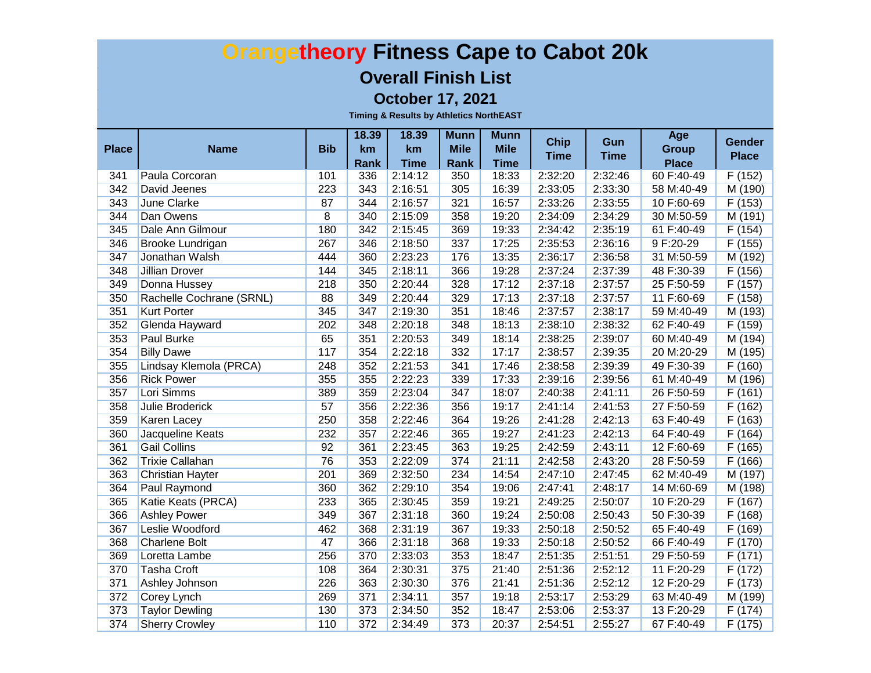#### **Overall Finish List**

**October 17, 2021**

| <b>Place</b> | <b>Name</b>              | <b>Bib</b>     | 18.39<br>km | 18.39<br>km | <b>Munn</b><br><b>Mile</b> | <b>Munn</b><br><b>Mile</b> | <b>Chip</b> | Gun         | Age<br><b>Group</b> | <b>Gender</b>       |
|--------------|--------------------------|----------------|-------------|-------------|----------------------------|----------------------------|-------------|-------------|---------------------|---------------------|
|              |                          |                | Rank        | <b>Time</b> | <b>Rank</b>                | <b>Time</b>                | <b>Time</b> | <b>Time</b> | <b>Place</b>        | <b>Place</b>        |
| 341          | Paula Corcoran           | 101            | 336         | 2:14:12     | 350                        | 18:33                      | 2:32:20     | 2:32:46     | 60 F:40-49          | F(152)              |
| 342          | David Jeenes             | 223            | 343         | 2:16:51     | 305                        | 16:39                      | 2:33:05     | 2:33:30     | 58 M:40-49          | M (190)             |
| 343          | <b>June Clarke</b>       | 87             | 344         | 2:16:57     | 321                        | 16:57                      | 2:33:26     | 2:33:55     | 10 F:60-69          | F(153)              |
| 344          | Dan Owens                | $\overline{8}$ | 340         | 2:15:09     | 358                        | 19:20                      | 2:34:09     | 2:34:29     | 30 M:50-59          | M(191)              |
| 345          | Dale Ann Gilmour         | 180            | 342         | 2:15:45     | 369                        | 19:33                      | 2:34:42     | 2:35:19     | 61 F:40-49          | F(154)              |
| 346          | <b>Brooke Lundrigan</b>  | 267            | 346         | 2:18:50     | 337                        | 17:25                      | 2:35:53     | 2:36:16     | 9 F:20-29           | F(155)              |
| 347          | Jonathan Walsh           | 444            | 360         | 2:23:23     | 176                        | 13:35                      | 2:36:17     | 2:36:58     | 31 M:50-59          | M(192)              |
| 348          | <b>Jillian Drover</b>    | 144            | 345         | 2:18:11     | 366                        | 19:28                      | 2:37:24     | 2:37:39     | 48 F:30-39          | F(156)              |
| 349          | Donna Hussey             | 218            | 350         | 2:20:44     | 328                        | 17:12                      | 2:37:18     | 2:37:57     | 25 F:50-59          | F(157)              |
| 350          | Rachelle Cochrane (SRNL) | 88             | 349         | 2:20:44     | 329                        | 17:13                      | 2:37:18     | 2:37:57     | 11 F:60-69          | F(158)              |
| 351          | <b>Kurt Porter</b>       | 345            | 347         | 2:19:30     | 351                        | 18:46                      | 2:37:57     | 2:38:17     | 59 M:40-49          | M (193)             |
| 352          | Glenda Hayward           | 202            | 348         | 2:20:18     | 348                        | 18:13                      | 2:38:10     | 2:38:32     | 62 F:40-49          | F (159)             |
| 353          | Paul Burke               | 65             | 351         | 2:20:53     | 349                        | 18:14                      | 2:38:25     | 2:39:07     | 60 M:40-49          | M (194)             |
| 354          | <b>Billy Dawe</b>        | 117            | 354         | 2:22:18     | 332                        | 17:17                      | 2:38:57     | 2:39:35     | 20 M:20-29          | M (195)             |
| 355          | Lindsay Klemola (PRCA)   | 248            | 352         | 2:21:53     | 341                        | 17:46                      | 2:38:58     | 2:39:39     | 49 F:30-39          | F(160)              |
| 356          | <b>Rick Power</b>        | 355            | 355         | 2:22:23     | 339                        | 17:33                      | 2:39:16     | 2:39:56     | 61 M:40-49          | M (196)             |
| 357          | Lori Simms               | 389            | 359         | 2:23:04     | 347                        | 18:07                      | 2:40:38     | 2:41:11     | 26 F:50-59          | F(161)              |
| 358          | Julie Broderick          | 57             | 356         | 2:22:36     | 356                        | 19:17                      | 2:41:14     | 2:41:53     | 27 F:50-59          | F(162)              |
| 359          | Karen Lacey              | 250            | 358         | 2:22:46     | 364                        | 19:26                      | 2:41:28     | 2:42:13     | 63 F:40-49          | F(163)              |
| 360          | Jacqueline Keats         | 232            | 357         | 2:22:46     | 365                        | 19:27                      | 2:41:23     | 2:42:13     | 64 F:40-49          | F(164)              |
| 361          | <b>Gail Collins</b>      | 92             | 361         | 2:23:45     | 363                        | 19:25                      | 2:42:59     | 2:43:11     | 12 F:60-69          | F(165)              |
| 362          | <b>Trixie Callahan</b>   | 76             | 353         | 2:22:09     | 374                        | 21:11                      | 2:42:58     | 2:43:20     | 28 F:50-59          | F(166)              |
| 363          | Christian Hayter         | 201            | 369         | 2:32:50     | 234                        | 14:54                      | 2:47:10     | 2:47:45     | 62 M:40-49          | M (197)             |
| 364          | Paul Raymond             | 360            | 362         | 2:29:10     | 354                        | 19:06                      | 2:47:41     | 2:48:17     | 14 M:60-69          | M(198)              |
| 365          | Katie Keats (PRCA)       | 233            | 365         | 2:30:45     | 359                        | 19:21                      | 2:49:25     | 2:50:07     | 10 F:20-29          | F(167)              |
| 366          | <b>Ashley Power</b>      | 349            | 367         | 2:31:18     | 360                        | 19:24                      | 2:50:08     | 2:50:43     | 50 F:30-39          | F(168)              |
| 367          | Leslie Woodford          | 462            | 368         | 2:31:19     | 367                        | 19:33                      | 2:50:18     | 2:50:52     | 65 F:40-49          | F (169)             |
| 368          | <b>Charlene Bolt</b>     | 47             | 366         | 2:31:18     | 368                        | 19:33                      | 2:50:18     | 2:50:52     | 66 F:40-49          | F(170)              |
| 369          | Loretta Lambe            | 256            | 370         | 2:33:03     | 353                        | 18:47                      | 2:51:35     | 2:51:51     | 29 F:50-59          | F(171)              |
| 370          | <b>Tasha Croft</b>       | 108            | 364         | 2:30:31     | 375                        | 21:40                      | 2:51:36     | 2:52:12     | 11 F:20-29          | $\overline{F(172)}$ |
| 371          | Ashley Johnson           | 226            | 363         | 2:30:30     | 376                        | 21:41                      | 2:51:36     | 2:52:12     | 12 F:20-29          | F(173)              |
| 372          | Corey Lynch              | 269            | 371         | 2:34:11     | 357                        | 19:18                      | 2:53:17     | 2:53:29     | 63 M:40-49          | M (199)             |
| 373          | <b>Taylor Dewling</b>    | 130            | 373         | 2:34:50     | 352                        | 18:47                      | 2:53:06     | 2:53:37     | 13 F:20-29          | F(174)              |
| 374          | <b>Sherry Crowley</b>    | 110            | 372         | 2:34:49     | 373                        | 20:37                      | 2:54:51     | 2:55:27     | 67 F:40-49          | F(175)              |